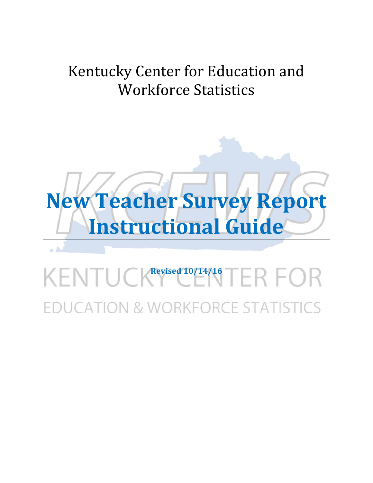# Kentucky Center for Education and Workforce Statistics



# KENTUCK<sup>Revised 10/14/16</sup>TER FOR DUCATION & WORKFORCE STATISTICS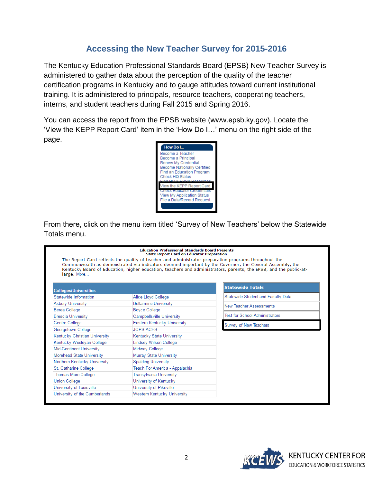#### **Accessing the New Teacher Survey for 2015-2016**

The Kentucky Education Professional Standards Board (EPSB) New Teacher Survey is administered to gather data about the perception of the quality of the teacher certification programs in Kentucky and to gauge attitudes toward current institutional training. It is administered to principals, resource teachers, cooperating teachers, interns, and student teachers during Fall 2015 and Spring 2016.

You can access the report from the EPSB website (www.epsb.ky.gov). Locate the 'View the KEPP Report Card' item in the 'How Do I…' menu on the right side of the page.



From there, click on the menu item titled 'Survey of New Teachers' below the Statewide Totals menu.

|                                 | <b>State Report Card on Educator Preparation</b><br>The Report Card reflects the quality of teacher and administrator preparation programs throughout the |                                                                                                                                                                                                                              |
|---------------------------------|-----------------------------------------------------------------------------------------------------------------------------------------------------------|------------------------------------------------------------------------------------------------------------------------------------------------------------------------------------------------------------------------------|
| large, More                     |                                                                                                                                                           | Commonwealth as demonstrated via indicators deemed important by the Governor, the General Assembly, the<br>Kentucky Board of Education, higher education, teachers and administrators, parents, the EPSB, and the public-at- |
| <b>Colleges/Universities</b>    |                                                                                                                                                           | <b>Statewide Totals</b>                                                                                                                                                                                                      |
| Statewide Information           | Alice Lloyd College                                                                                                                                       | Statewide Student and Faculty Data                                                                                                                                                                                           |
| <b>Asbury University</b>        | <b>Bellarmine University</b>                                                                                                                              | New Teacher Assessments                                                                                                                                                                                                      |
| Berea College                   | <b>Boyce College</b>                                                                                                                                      |                                                                                                                                                                                                                              |
| <b>Brescia University</b>       | Campbellsville University                                                                                                                                 | <b>Test for School Administrators</b>                                                                                                                                                                                        |
| Centre College                  | Eastern Kentucky University                                                                                                                               | Survey of New Teachers                                                                                                                                                                                                       |
| Georgetown College              | <b>JCPS ACES</b>                                                                                                                                          |                                                                                                                                                                                                                              |
| Kentucky Christian University   | Kentucky State University                                                                                                                                 |                                                                                                                                                                                                                              |
| Kentucky Wesleyan College       | <b>Lindsey Wilson College</b>                                                                                                                             |                                                                                                                                                                                                                              |
| <b>Mid-Continent University</b> | Midway College                                                                                                                                            |                                                                                                                                                                                                                              |
| Morehead State University       | Murray State University                                                                                                                                   |                                                                                                                                                                                                                              |
| Northern Kentucky University    | <b>Spalding University</b>                                                                                                                                |                                                                                                                                                                                                                              |
| St. Catharine College           | Teach For America - Appalachia                                                                                                                            |                                                                                                                                                                                                                              |
| Thomas More College             | Transylvania University                                                                                                                                   |                                                                                                                                                                                                                              |
| <b>Union College</b>            | University of Kentucky                                                                                                                                    |                                                                                                                                                                                                                              |
| University of Louisville        | University of Pikeville                                                                                                                                   |                                                                                                                                                                                                                              |
| University of the Cumberlands   | Western Kentucky University                                                                                                                               |                                                                                                                                                                                                                              |

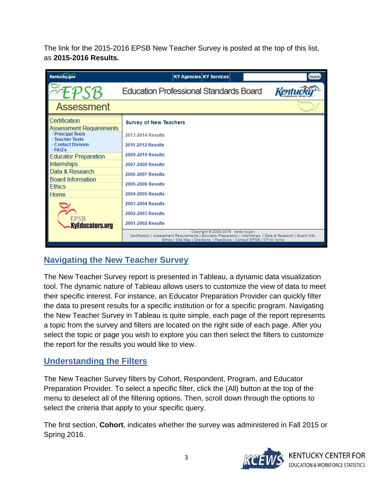The link for the 2015-2016 EPSB New Teacher Survey is posted at the top of this list, as **2015-2016 Results.** 

| <b>Kentucky.gov</b>                                                                                                                                            | <b>KY Agencies KY Services</b>                                                                                                                                                                                                                                                                 | Search |
|----------------------------------------------------------------------------------------------------------------------------------------------------------------|------------------------------------------------------------------------------------------------------------------------------------------------------------------------------------------------------------------------------------------------------------------------------------------------|--------|
| PSB                                                                                                                                                            | Education Professional Standards Board                                                                                                                                                                                                                                                         |        |
| <b>Assessment</b>                                                                                                                                              |                                                                                                                                                                                                                                                                                                |        |
| Certification<br>Assessment Requirements<br><b>• Principal Tests</b><br><b>E</b> Teacher Tests<br>◦ Contact Division<br>∘ FAQ's<br><b>Educator Preparation</b> | <b>Survey of New Teachers</b><br>2013-2014 Results<br>2011-2012 Results<br>2009-2010 Results                                                                                                                                                                                                   |        |
| Internships<br>Data & Research<br><b>Board Information</b><br><b>Ethics</b><br>Home                                                                            | 2007-2008 Results<br><b>2006-2007 Results</b><br><b>2005-2006 Results</b><br>2004-2005 Results                                                                                                                                                                                                 |        |
| EPSB<br><b>KyEducators.org</b>                                                                                                                                 | 2003-2004 Results<br>2002-2003 Results<br><b>2001-2002 Results</b><br>Copyright @ 2000-2016 epsb.ky.gov<br>Certification   Assessment Requirements   Educator Preparation   Internships   Data & Research   Board Info<br>Ethics   Site Map   Directions   Feedback   Contact EPSB   EPSB Home |        |

# **Navigating the New Teacher Survey**

The New Teacher Survey report is presented in Tableau, a dynamic data visualization tool. The dynamic nature of Tableau allows users to customize the view of data to meet their specific interest. For instance, an Educator Preparation Provider can quickly filter the data to present results for a specific institution or for a specific program. Navigating the New Teacher Survey in Tableau is quite simple, each page of the report represents a topic from the survey and filters are located on the right side of each page. After you select the topic or page you wish to explore you can then select the filters to customize the report for the results you would like to view.

#### **Understanding the Filters**

The New Teacher Survey filters by Cohort, Respondent, Program, and Educator Preparation Provider. To select a specific filter, click the (All) button at the top of the menu to deselect all of the filtering options. Then, scroll down through the options to select the criteria that apply to your specific query.

The first section, **Cohort**, indicates whether the survey was administered in Fall 2015 or Spring 2016.



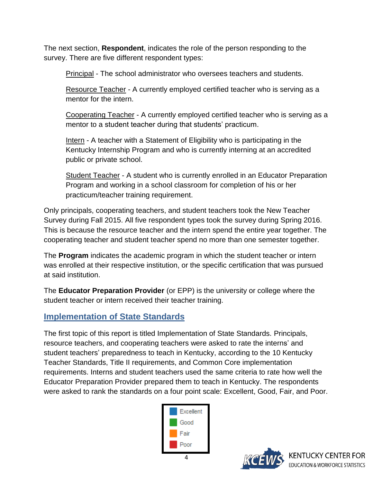The next section, **Respondent**, indicates the role of the person responding to the survey. There are five different respondent types:

Principal - The school administrator who oversees teachers and students.

Resource Teacher - A currently employed certified teacher who is serving as a mentor for the intern.

Cooperating Teacher - A currently employed certified teacher who is serving as a mentor to a student teacher during that students' practicum.

Intern - A teacher with a Statement of Eligibility who is participating in the Kentucky Internship Program and who is currently interning at an accredited public or private school.

Student Teacher - A student who is currently enrolled in an Educator Preparation Program and working in a school classroom for completion of his or her practicum/teacher training requirement.

Only principals, cooperating teachers, and student teachers took the New Teacher Survey during Fall 2015. All five respondent types took the survey during Spring 2016. This is because the resource teacher and the intern spend the entire year together. The cooperating teacher and student teacher spend no more than one semester together.

The **Program** indicates the academic program in which the student teacher or intern was enrolled at their respective institution, or the specific certification that was pursued at said institution.

The **Educator Preparation Provider** (or EPP) is the university or college where the student teacher or intern received their teacher training.

# **Implementation of State Standards**

The first topic of this report is titled Implementation of State Standards. Principals, resource teachers, and cooperating teachers were asked to rate the interns' and student teachers' preparedness to teach in Kentucky, according to the 10 Kentucky Teacher Standards, Title II requirements, and Common Core implementation requirements. Interns and student teachers used the same criteria to rate how well the Educator Preparation Provider prepared them to teach in Kentucky. The respondents were asked to rank the standards on a four point scale: Excellent, Good, Fair, and Poor.



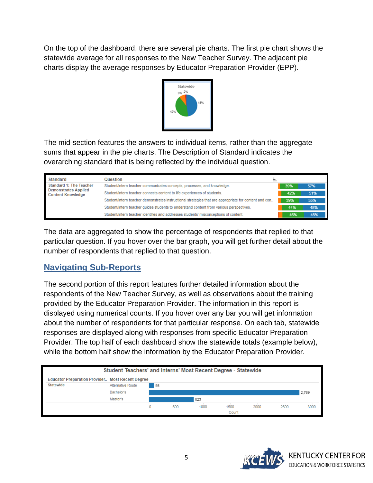On the top of the dashboard, there are several pie charts. The first pie chart shows the statewide average for all responses to the New Teacher Survey. The adjacent pie charts display the average responses by Educator Preparation Provider (EPP).



The mid-section features the answers to individual items, rather than the aggregate sums that appear in the pie charts. The Description of Standard indicates the overarching standard that is being reflected by the individual question.

| <b>Standard</b>                                                                           | Question                                                                                              |     |     |
|-------------------------------------------------------------------------------------------|-------------------------------------------------------------------------------------------------------|-----|-----|
| <b>Standard 1: The Teacher</b><br><b>Demonstrates Applied</b><br><b>Content Knowledge</b> | Student/intern teacher communicates concepts, processes, and knowledge.                               | 39% | 57% |
|                                                                                           | Student/intern teacher connects content to life experiences of students.                              | 42% | 51% |
|                                                                                           | Student/intern teacher demonstrates instructional strategies that are appropriate for content and con | 39% | 55% |
|                                                                                           | Student/intern teacher quides students to understand content from various perspectives.               | 44% | 48% |
|                                                                                           | Student/intern teacher identifies and addresses students' misconceptions of content.                  | 46% | 45% |

The data are aggregated to show the percentage of respondents that replied to that particular question. If you hover over the bar graph, you will get further detail about the number of respondents that replied to that question.

# **Navigating Sub-Reports**

The second portion of this report features further detailed information about the respondents of the New Teacher Survey, as well as observations about the training provided by the Educator Preparation Provider. The information in this report is displayed using numerical counts. If you hover over any bar you will get information about the number of respondents for that particular response. On each tab, statewide responses are displayed along with responses from specific Educator Preparation Provider. The top half of each dashboard show the statewide totals (example below), while the bottom half show the information by the Educator Preparation Provider.



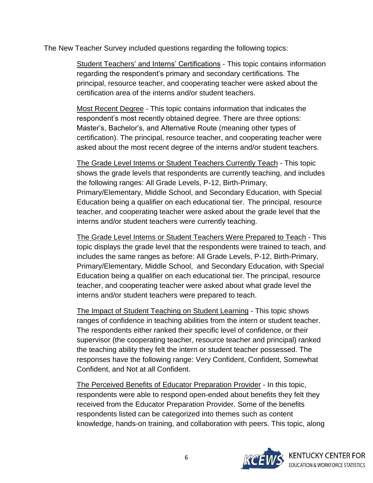The New Teacher Survey included questions regarding the following topics:

Student Teachers' and Interns' Certifications - This topic contains information regarding the respondent's primary and secondary certifications. The principal, resource teacher, and cooperating teacher were asked about the certification area of the interns and/or student teachers.

Most Recent Degree - This topic contains information that indicates the respondent's most recently obtained degree. There are three options: Master's, Bachelor's, and Alternative Route (meaning other types of certification). The principal, resource teacher, and cooperating teacher were asked about the most recent degree of the interns and/or student teachers.

The Grade Level Interns or Student Teachers Currently Teach - This topic shows the grade levels that respondents are currently teaching, and includes the following ranges: All Grade Levels, P-12, Birth-Primary, Primary/Elementary, Middle School, and Secondary Education, with Special Education being a qualifier on each educational tier. The principal, resource teacher, and cooperating teacher were asked about the grade level that the interns and/or student teachers were currently teaching.

The Grade Level Interns or Student Teachers Were Prepared to Teach - This topic displays the grade level that the respondents were trained to teach, and includes the same ranges as before: All Grade Levels, P-12, Birth-Primary, Primary/Elementary, Middle School, and Secondary Education, with Special Education being a qualifier on each educational tier. The principal, resource teacher, and cooperating teacher were asked about what grade level the interns and/or student teachers were prepared to teach.

The Impact of Student Teaching on Student Learning - This topic shows ranges of confidence in teaching abilities from the intern or student teacher. The respondents either ranked their specific level of confidence, or their supervisor (the cooperating teacher, resource teacher and principal) ranked the teaching ability they felt the intern or student teacher possessed. The responses have the following range: Very Confident, Confident, Somewhat Confident, and Not at all Confident.

The Perceived Benefits of Educator Preparation Provider - In this topic, respondents were able to respond open-ended about benefits they felt they received from the Educator Preparation Provider. Some of the benefits respondents listed can be categorized into themes such as content knowledge, hands-on training, and collaboration with peers. This topic, along

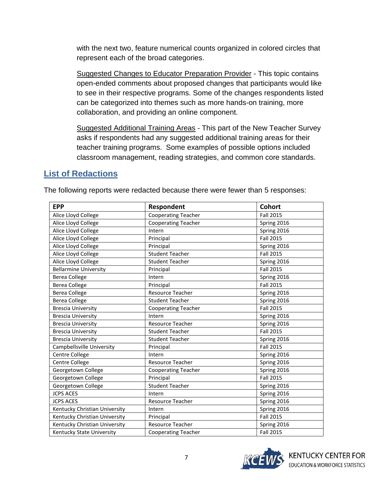with the next two, feature numerical counts organized in colored circles that represent each of the broad categories.

Suggested Changes to Educator Preparation Provider - This topic contains open-ended comments about proposed changes that participants would like to see in their respective programs. Some of the changes respondents listed can be categorized into themes such as more hands-on training, more collaboration, and providing an online component.

Suggested Additional Training Areas - This part of the New Teacher Survey asks if respondents had any suggested additional training areas for their teacher training programs. Some examples of possible options included classroom management, reading strategies, and common core standards.

#### **List of Redactions**

| <b>EPP</b>                    | Respondent                 | <b>Cohort</b>    |
|-------------------------------|----------------------------|------------------|
| Alice Lloyd College           | <b>Cooperating Teacher</b> | <b>Fall 2015</b> |
| Alice Lloyd College           | <b>Cooperating Teacher</b> | Spring 2016      |
| Alice Lloyd College           | Intern                     | Spring 2016      |
| Alice Lloyd College           | Principal                  | <b>Fall 2015</b> |
| Alice Lloyd College           | Principal                  | Spring 2016      |
| Alice Lloyd College           | <b>Student Teacher</b>     | <b>Fall 2015</b> |
| Alice Lloyd College           | <b>Student Teacher</b>     | Spring 2016      |
| <b>Bellarmine University</b>  | Principal                  | <b>Fall 2015</b> |
| <b>Berea College</b>          | Intern                     | Spring 2016      |
| <b>Berea College</b>          | Principal                  | <b>Fall 2015</b> |
| <b>Berea College</b>          | <b>Resource Teacher</b>    | Spring 2016      |
| <b>Berea College</b>          | <b>Student Teacher</b>     | Spring 2016      |
| <b>Brescia University</b>     | <b>Cooperating Teacher</b> | <b>Fall 2015</b> |
| <b>Brescia University</b>     | Intern                     | Spring 2016      |
| <b>Brescia University</b>     | <b>Resource Teacher</b>    | Spring 2016      |
| <b>Brescia University</b>     | <b>Student Teacher</b>     | <b>Fall 2015</b> |
| <b>Brescia University</b>     | <b>Student Teacher</b>     | Spring 2016      |
| Campbellsville University     | Principal                  | <b>Fall 2015</b> |
| Centre College                | Intern                     | Spring 2016      |
| Centre College                | <b>Resource Teacher</b>    | Spring 2016      |
| Georgetown College            | <b>Cooperating Teacher</b> | Spring 2016      |
| Georgetown College            | Principal                  | <b>Fall 2015</b> |
| Georgetown College            | <b>Student Teacher</b>     | Spring 2016      |
| <b>JCPS ACES</b>              | Intern                     | Spring 2016      |
| <b>JCPS ACES</b>              | <b>Resource Teacher</b>    | Spring 2016      |
| Kentucky Christian University | Intern                     | Spring 2016      |
| Kentucky Christian University | Principal                  | <b>Fall 2015</b> |
| Kentucky Christian University | Resource Teacher           | Spring 2016      |
| Kentucky State University     | <b>Cooperating Teacher</b> | <b>Fall 2015</b> |

The following reports were redacted because there were fewer than 5 responses: